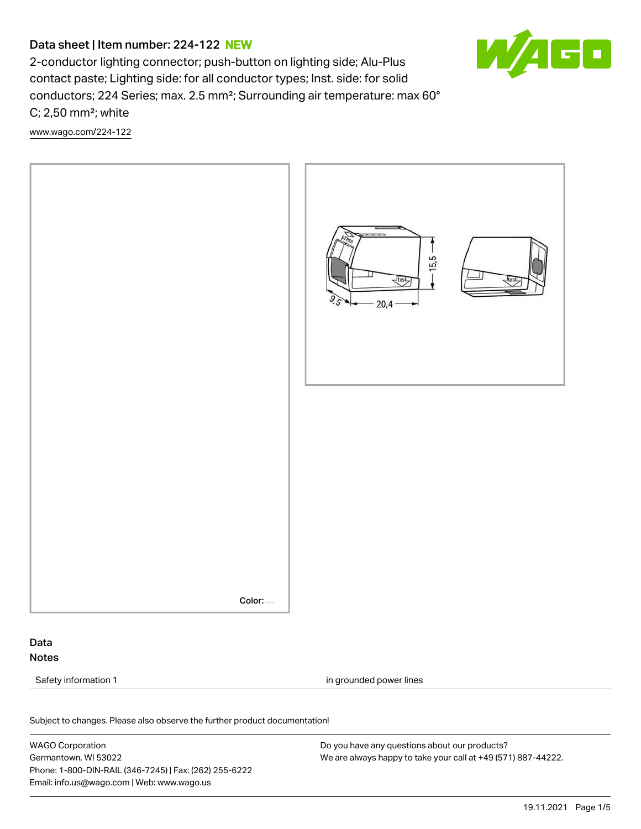# Data sheet | Item number: 224-122 NEW



2-conductor lighting connector; push-button on lighting side; Alu-Plus contact paste; Lighting side: for all conductor types; Inst. side: for solid conductors; 224 Series; max. 2.5 mm²; Surrounding air temperature: max 60° C; 2,50 mm²; white

[www.wago.com/224-122](http://www.wago.com/224-122)



Color:

# Data Notes

Safety information 1 in grounded power lines

Subject to changes. Please also observe the further product documentation! Electrical data

WAGO Corporation Germantown, WI 53022 Phone: 1-800-DIN-RAIL (346-7245) | Fax: (262) 255-6222 Email: info.us@wago.com | Web: www.wago.us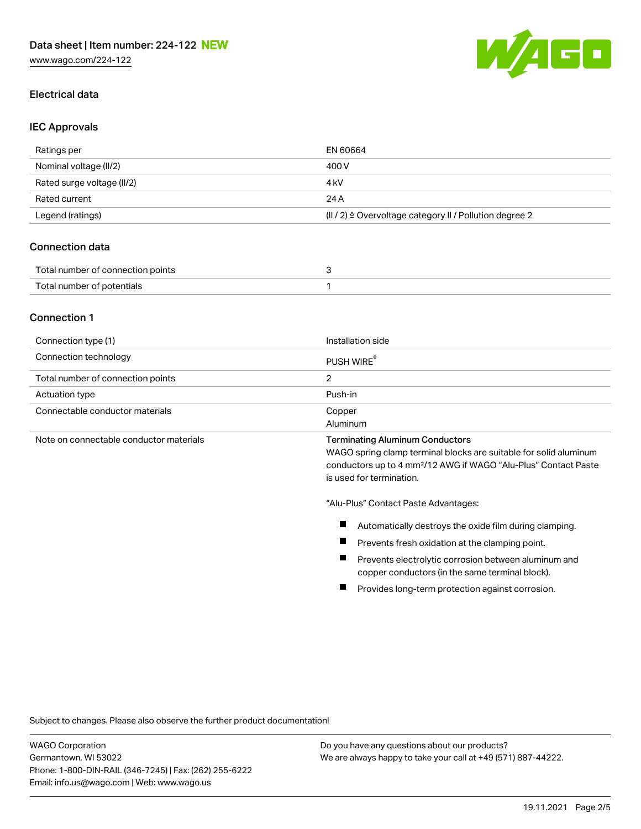

#### Electrical data

#### IEC Approvals

| Ratings per                | EN 60664                                                         |
|----------------------------|------------------------------------------------------------------|
| Nominal voltage (II/2)     | 400 V                                                            |
| Rated surge voltage (II/2) | 4 kV                                                             |
| Rated current              | 24 A                                                             |
| Legend (ratings)           | $(  /2) \triangleq$ Overvoltage category II / Pollution degree 2 |

### Connection data

| Total number of connection points |  |
|-----------------------------------|--|
| Total number of potentials        |  |

### Connection 1

| Connection type (1)                     | Installation side                                                                                           |
|-----------------------------------------|-------------------------------------------------------------------------------------------------------------|
| Connection technology                   | PUSH WIRE                                                                                                   |
| Total number of connection points       |                                                                                                             |
| Actuation type                          | Push-in                                                                                                     |
| Connectable conductor materials         | Copper                                                                                                      |
|                                         | Aluminum                                                                                                    |
| Note on connectable conductor materials | <b>Terminating Aluminum Conductors</b><br>WACO enring elemn terminal blocke are quitable for solid elyminum |

WAGO spring clamp terminal blocks are suitable for solid aluminum conductors up to 4 mm²/12 AWG if WAGO "Alu-Plus" Contact Paste is used for termination.

"Alu-Plus" Contact Paste Advantages:

- $\blacksquare$ Automatically destroys the oxide film during clamping.
- $\blacksquare$ Prevents fresh oxidation at the clamping point.
- $\blacksquare$ Prevents electrolytic corrosion between aluminum and copper conductors (in the same terminal block).
- ш Provides long-term protection against corrosion.

Subject to changes. Please also observe the further product documentation!

WAGO Corporation Germantown, WI 53022 Phone: 1-800-DIN-RAIL (346-7245) | Fax: (262) 255-6222 Email: info.us@wago.com | Web: www.wago.us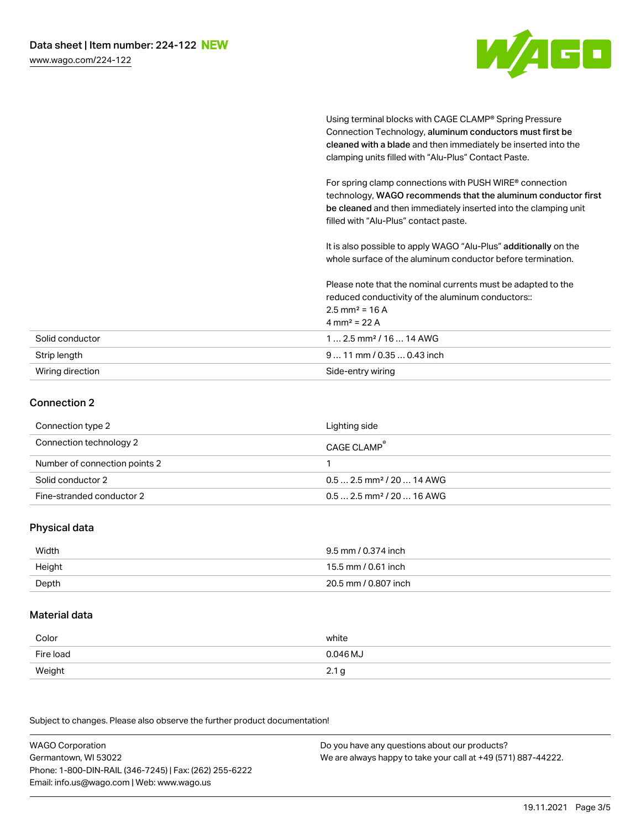

Using terminal blocks with CAGE CLAMP® Spring Pressure Connection Technology, aluminum conductors must first be cleaned with a blade and then immediately be inserted into the clamping units filled with "Alu-Plus" Contact Paste.

For spring clamp connections with PUSH WIRE® connection technology, WAGO recommends that the aluminum conductor first be cleaned and then immediately inserted into the clamping unit filled with "Alu-Plus" contact paste.

It is also possible to apply WAGO "Alu-Plus" additionally on the whole surface of the aluminum conductor before termination.

Please note that the nominal currents must be adapted to the reduced conductivity of the aluminum conductors::  $2.5$  mm<sup>2</sup> = 16 A 4 mm<sup>2</sup> = 22 A Solid conductor 1 … 2.5 mm² / 16 … 14 AWG

| Strip length     | $911$ mm / 0.35  0.43 inch |
|------------------|----------------------------|
| Wiring direction | Side-entry wiring          |

# Connection 2

| Connection type 2             | Lighting side                          |
|-------------------------------|----------------------------------------|
| Connection technology 2       | CAGE CLAMP <sup>®</sup>                |
| Number of connection points 2 |                                        |
| Solid conductor 2             | $0.5$ 2.5 mm <sup>2</sup> / 20  14 AWG |
| Fine-stranded conductor 2     | $0.5$ 2.5 mm <sup>2</sup> / 20  16 AWG |

#### Physical data

| Width  | 9.5 mm / 0.374 inch  |
|--------|----------------------|
| Height | 15.5 mm / 0.61 inch  |
| Depth  | 20.5 mm / 0.807 inch |

#### Material data

| Color     | white    |
|-----------|----------|
| Fire load | 0.046 MJ |
| Weight    | 2.1      |

Subject to changes. Please also observe the further product documentation!

| <b>WAGO Corporation</b>                                | Do you have any questions about our products?                 |
|--------------------------------------------------------|---------------------------------------------------------------|
| Germantown, WI 53022                                   | We are always happy to take your call at +49 (571) 887-44222. |
| Phone: 1-800-DIN-RAIL (346-7245)   Fax: (262) 255-6222 |                                                               |
| Email: info.us@wago.com   Web: www.wago.us             |                                                               |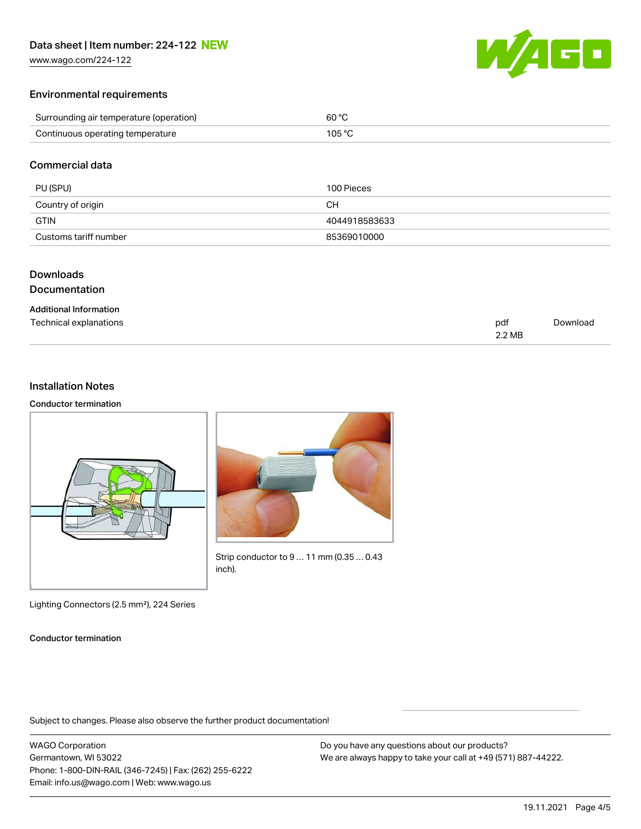[www.wago.com/224-122](http://www.wago.com/224-122)



#### Environmental requirements

| Surrounding air temperature (operation) | 60 °C  |
|-----------------------------------------|--------|
| Continuous operating temperature        | 105 °C |

### Commercial data

| PU (SPU)              | 100 Pieces    |
|-----------------------|---------------|
| Country of origin     | CН            |
| GTIN                  | 4044918583633 |
| Customs tariff number | 85369010000   |

### Downloads

#### Documentation

#### Additional Information

| Technical explanations | pdt    | Download |
|------------------------|--------|----------|
|                        | 2.2 MB |          |

### Installation Notes

#### Conductor termination





Strip conductor to 9 … 11 mm (0.35 … 0.43 inch).

Lighting Connectors (2.5 mm²), 224 Series

#### Conductor termination

Subject to changes. Please also observe the further product documentation!

WAGO Corporation Germantown, WI 53022 Phone: 1-800-DIN-RAIL (346-7245) | Fax: (262) 255-6222 Email: info.us@wago.com | Web: www.wago.us